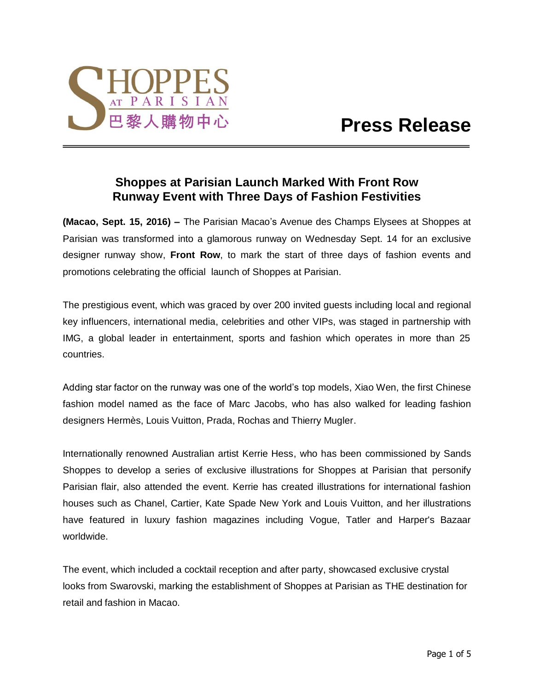

# **Shoppes at Parisian Launch Marked With Front Row Runway Event with Three Days of Fashion Festivities**

**(Macao, Sept. 15, 2016) –** The Parisian Macao's Avenue des Champs Elysees at Shoppes at Parisian was transformed into a glamorous runway on Wednesday Sept. 14 for an exclusive designer runway show, **Front Row**, to mark the start of three days of fashion events and promotions celebrating the official launch of Shoppes at Parisian.

The prestigious event, which was graced by over 200 invited guests including local and regional key influencers, international media, celebrities and other VIPs, was staged in partnership with IMG, a global leader in entertainment, sports and fashion which operates in more than 25 countries.

Adding star factor on the runway was one of the world's top models, Xiao Wen, the first Chinese fashion model named as the face of Marc Jacobs, who has also walked for leading fashion designers Hermès, Louis Vuitton, Prada, Rochas and Thierry Mugler.

Internationally renowned Australian artist Kerrie Hess, who has been commissioned by Sands Shoppes to develop a series of exclusive illustrations for Shoppes at Parisian that personify Parisian flair, also attended the event. Kerrie has created illustrations for international fashion houses such as Chanel, Cartier, Kate Spade New York and Louis Vuitton, and her illustrations have featured in luxury fashion magazines including Vogue, Tatler and Harper's Bazaar worldwide.

The event, which included a cocktail reception and after party, showcased exclusive crystal looks from Swarovski, marking the establishment of Shoppes at Parisian as THE destination for retail and fashion in Macao.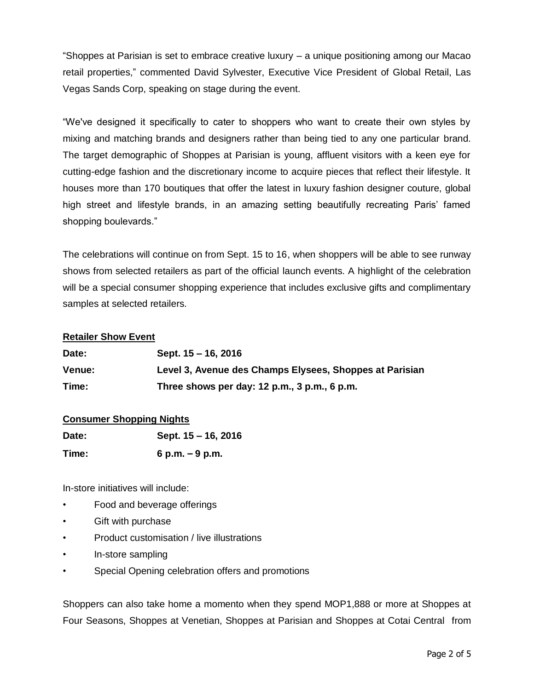"Shoppes at Parisian is set to embrace creative luxury – a unique positioning among our Macao retail properties," commented David Sylvester, Executive Vice President of Global Retail, Las Vegas Sands Corp, speaking on stage during the event.

"We've designed it specifically to cater to shoppers who want to create their own styles by mixing and matching brands and designers rather than being tied to any one particular brand. The target demographic of Shoppes at Parisian is young, affluent visitors with a keen eye for cutting-edge fashion and the discretionary income to acquire pieces that reflect their lifestyle. It houses more than 170 boutiques that offer the latest in luxury fashion designer couture, global high street and lifestyle brands, in an amazing setting beautifully recreating Paris' famed shopping boulevards."

The celebrations will continue on from Sept. 15 to 16, when shoppers will be able to see runway shows from selected retailers as part of the official launch events. A highlight of the celebration will be a special consumer shopping experience that includes exclusive gifts and complimentary samples at selected retailers.

## **Retailer Show Event**

| Date:         | Sept. 15 – 16, 2016                                     |
|---------------|---------------------------------------------------------|
| <b>Venue:</b> | Level 3, Avenue des Champs Elysees, Shoppes at Parisian |
| Time:         | Three shows per day: 12 p.m., 3 p.m., 6 p.m.            |

## **Consumer Shopping Nights**

| Date: | Sept. 15 – 16, 2016 |
|-------|---------------------|
| Time: | 6 p.m. $-9$ p.m.    |

In-store initiatives will include:

- Food and beverage offerings
- Gift with purchase
- Product customisation / live illustrations
- In-store sampling
- Special Opening celebration offers and promotions

Shoppers can also take home a momento when they spend MOP1,888 or more at Shoppes at Four Seasons, Shoppes at Venetian, Shoppes at Parisian and Shoppes at Cotai Central from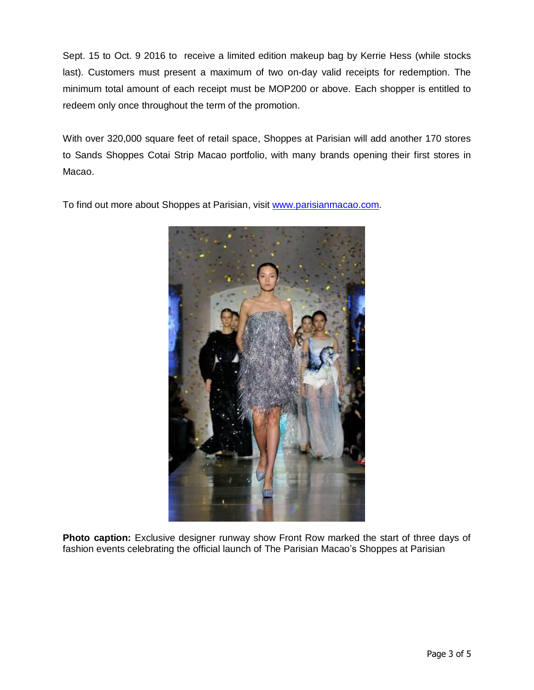Sept. 15 to Oct. 9 2016 to receive a limited edition makeup bag by Kerrie Hess (while stocks last). Customers must present a maximum of two on-day valid receipts for redemption. The minimum total amount of each receipt must be MOP200 or above. Each shopper is entitled to redeem only once throughout the term of the promotion.

With over 320,000 square feet of retail space, Shoppes at Parisian will add another 170 stores to Sands Shoppes Cotai Strip Macao portfolio, with many brands opening their first stores in Macao.

To find out more about Shoppes at Parisian, visit [www.parisianmacao.com.](http://www.parisianmacao.com/)



**Photo caption:** Exclusive designer runway show Front Row marked the start of three days of fashion events celebrating the official launch of The Parisian Macao's Shoppes at Parisian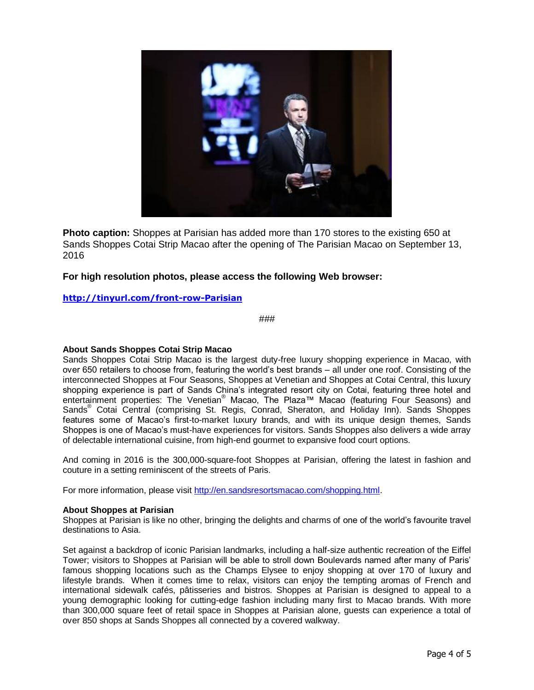

**Photo caption:** Shoppes at Parisian has added more than 170 stores to the existing 650 at Sands Shoppes Cotai Strip Macao after the opening of The Parisian Macao on September 13, 2016

## **For high resolution photos, please access the following Web browser:**

### **<http://tinyurl.com/front-row-Parisian>**

###

#### **About Sands Shoppes Cotai Strip Macao**

Sands Shoppes Cotai Strip Macao is the largest duty-free luxury shopping experience in Macao, with over 650 retailers to choose from, featuring the world's best brands – all under one roof. Consisting of the interconnected Shoppes at Four Seasons, Shoppes at Venetian and Shoppes at Cotai Central, this luxury shopping experience is part of Sands China's integrated resort city on Cotai, featuring three hotel and entertainment properties: The Venetian® Macao, The Plaza™ Macao (featuring Four Seasons) and Sands® Cotai Central (comprising St. Regis, Conrad, Sheraton, and Holiday Inn). Sands Shoppes features some of Macao's first-to-market luxury brands, and with its unique design themes, Sands Shoppes is one of Macao's must-have experiences for visitors. Sands Shoppes also delivers a wide array of delectable international cuisine, from high-end gourmet to expansive food court options.

And coming in 2016 is the 300,000-square-foot Shoppes at Parisian, offering the latest in fashion and couture in a setting reminiscent of the streets of Paris.

For more information, please visit [http://en.sandsresortsmacao.com/shopping.html.](http://en.sandsresortsmacao.com/shopping.html)

#### **About Shoppes at Parisian**

Shoppes at Parisian is like no other, bringing the delights and charms of one of the world's favourite travel destinations to Asia.

Set against a backdrop of iconic Parisian landmarks, including a half-size authentic recreation of the Eiffel Tower; visitors to Shoppes at Parisian will be able to stroll down Boulevards named after many of Paris' famous shopping locations such as the Champs Elysee to enjoy shopping at over 170 of luxury and lifestyle brands. When it comes time to relax, visitors can enjoy the tempting aromas of French and international sidewalk cafés, pâtisseries and bistros. Shoppes at Parisian is designed to appeal to a young demographic looking for cutting-edge fashion including many first to Macao brands. With more than 300,000 square feet of retail space in Shoppes at Parisian alone, guests can experience a total of over 850 shops at Sands Shoppes all connected by a covered walkway.